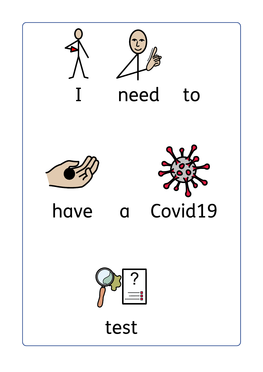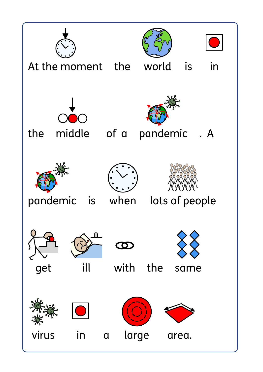![](_page_1_Picture_0.jpeg)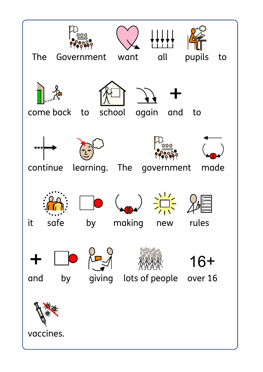![](_page_2_Picture_0.jpeg)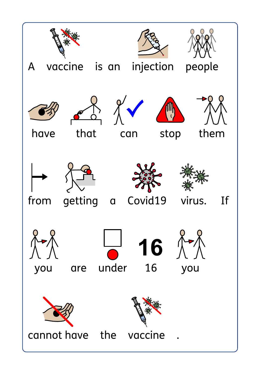![](_page_3_Picture_0.jpeg)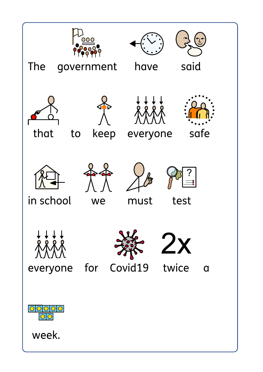![](_page_4_Picture_0.jpeg)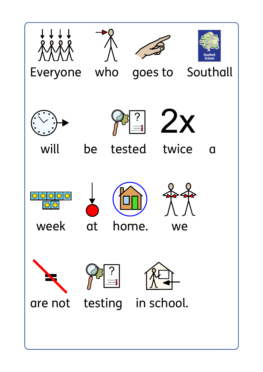![](_page_5_Picture_0.jpeg)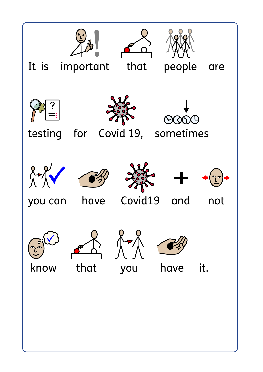![](_page_6_Picture_0.jpeg)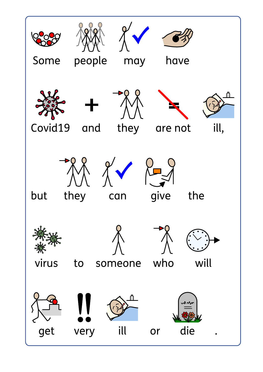![](_page_7_Picture_0.jpeg)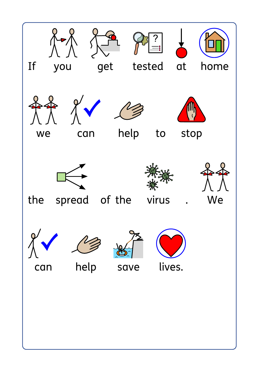![](_page_8_Picture_0.jpeg)